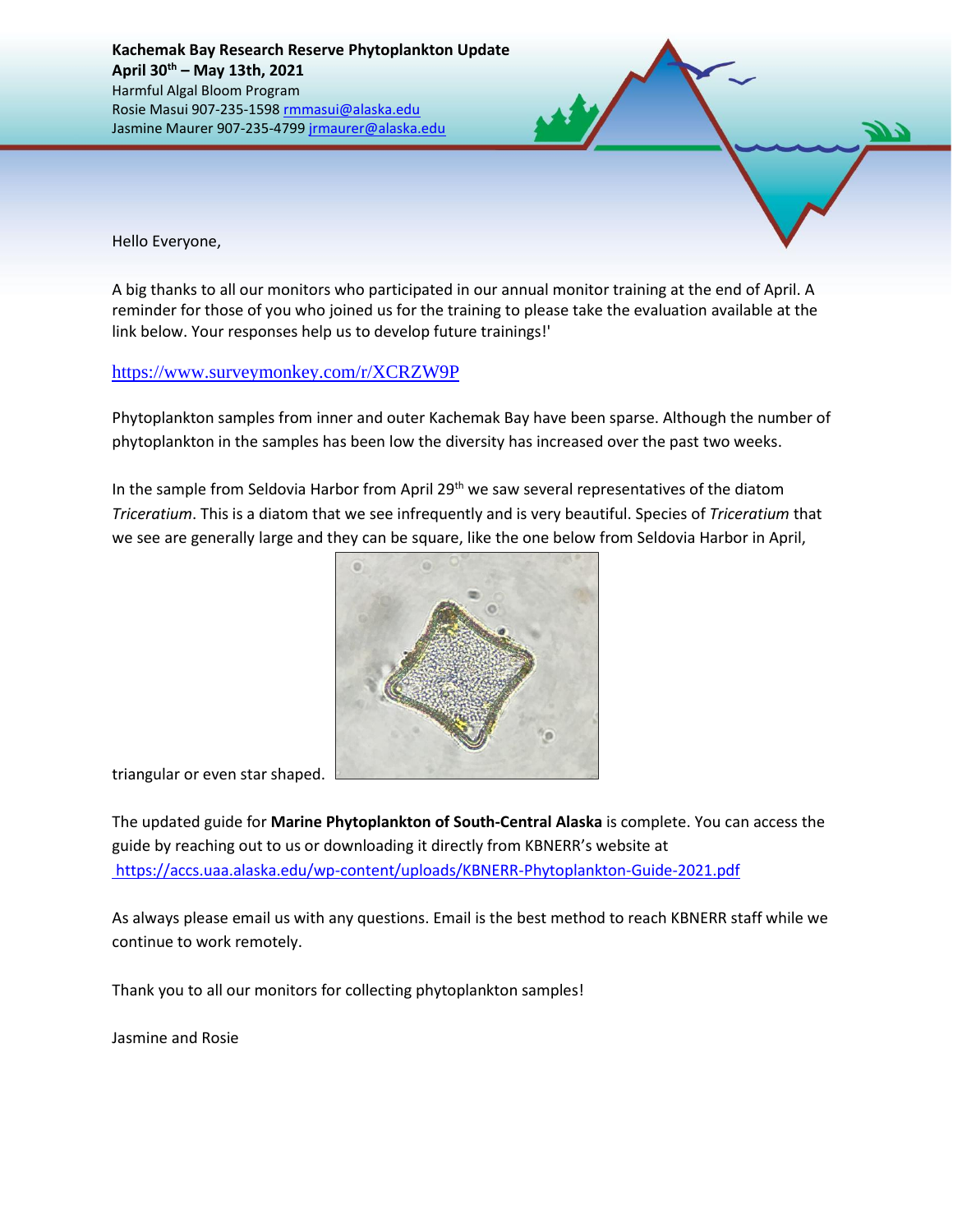

A big thanks to all our monitors who participated in our annual monitor training at the end of April. A reminder for those of you who joined us for the training to please take the evaluation available at the link below. Your responses help us to develop future trainings!'

## <https://www.surveymonkey.com/r/XCRZW9P>

Phytoplankton samples from inner and outer Kachemak Bay have been sparse. Although the number of phytoplankton in the samples has been low the diversity has increased over the past two weeks.

In the sample from Seldovia Harbor from April 29<sup>th</sup> we saw several representatives of the diatom *Triceratium*. This is a diatom that we see infrequently and is very beautiful. Species of *Triceratium* that we see are generally large and they can be square, like the one below from Seldovia Harbor in April,



triangular or even star shaped.

The updated guide for **Marine Phytoplankton of South-Central Alaska** is complete. You can access the guide by reaching out to us or downloading it directly from KBNERR's website at <https://accs.uaa.alaska.edu/wp-content/uploads/KBNERR-Phytoplankton-Guide-2021.pdf>

As always please email us with any questions. Email is the best method to reach KBNERR staff while we continue to work remotely.

Thank you to all our monitors for collecting phytoplankton samples!

Jasmine and Rosie